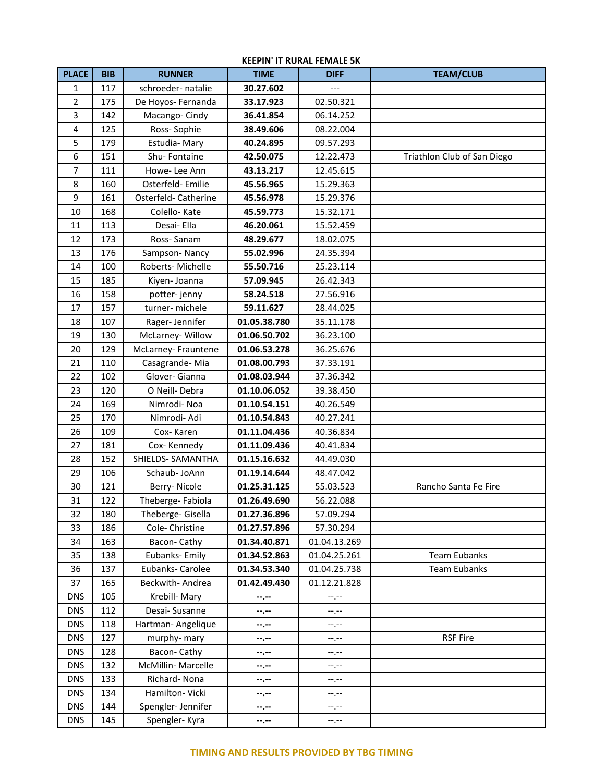| <b>PLACE</b> | <b>BIB</b> | <b>RUNNER</b>       | <b>TIME</b>  | <b>DIFF</b>  | <b>TEAM/CLUB</b>            |
|--------------|------------|---------------------|--------------|--------------|-----------------------------|
| 1            | 117        | schroeder- natalie  | 30.27.602    |              |                             |
| 2            | 175        | De Hoyos- Fernanda  | 33.17.923    | 02.50.321    |                             |
| 3            | 142        | Macango-Cindy       | 36.41.854    | 06.14.252    |                             |
| 4            | 125        | Ross-Sophie         | 38.49.606    | 08.22.004    |                             |
| 5            | 179        | Estudia- Mary       | 40.24.895    | 09.57.293    |                             |
| 6            | 151        | Shu-Fontaine        | 42.50.075    | 12.22.473    | Triathlon Club of San Diego |
| 7            | 111        | Howe-Lee Ann        | 43.13.217    | 12.45.615    |                             |
| 8            | 160        | Osterfeld-Emilie    | 45.56.965    | 15.29.363    |                             |
| 9            | 161        | Osterfeld-Catherine | 45.56.978    | 15.29.376    |                             |
| 10           | 168        | Colello-Kate        | 45.59.773    | 15.32.171    |                             |
| 11           | 113        | Desai- Ella         | 46.20.061    | 15.52.459    |                             |
| 12           | 173        | Ross-Sanam          | 48.29.677    | 18.02.075    |                             |
| 13           | 176        | Sampson-Nancy       | 55.02.996    | 24.35.394    |                             |
| 14           | 100        | Roberts-Michelle    | 55.50.716    | 25.23.114    |                             |
| 15           | 185        | Kiyen- Joanna       | 57.09.945    | 26.42.343    |                             |
| 16           | 158        | potter-jenny        | 58.24.518    | 27.56.916    |                             |
| 17           | 157        | turner-michele      | 59.11.627    | 28.44.025    |                             |
| 18           | 107        | Rager-Jennifer      | 01.05.38.780 | 35.11.178    |                             |
| 19           | 130        | McLarney-Willow     | 01.06.50.702 | 36.23.100    |                             |
| 20           | 129        | McLarney- Frauntene | 01.06.53.278 | 36.25.676    |                             |
| 21           | 110        | Casagrande-Mia      | 01.08.00.793 | 37.33.191    |                             |
| 22           | 102        | Glover- Gianna      | 01.08.03.944 | 37.36.342    |                             |
| 23           | 120        | O Neill-Debra       | 01.10.06.052 | 39.38.450    |                             |
| 24           | 169        | Nimrodi-Noa         | 01.10.54.151 | 40.26.549    |                             |
| 25           | 170        | Nimrodi- Adi        | 01.10.54.843 | 40.27.241    |                             |
| 26           | 109        | Cox-Karen           | 01.11.04.436 | 40.36.834    |                             |
| 27           | 181        | Cox-Kennedy         | 01.11.09.436 | 40.41.834    |                             |
| 28           | 152        | SHIELDS- SAMANTHA   | 01.15.16.632 | 44.49.030    |                             |
| 29           | 106        | Schaub-JoAnn        | 01.19.14.644 | 48.47.042    |                             |
| 30           | 121        | Berry-Nicole        | 01.25.31.125 | 55.03.523    | Rancho Santa Fe Fire        |
| 31           | 122        | Theberge-Fabiola    | 01.26.49.690 | 56.22.088    |                             |
| 32           | 180        | Theberge- Gisella   | 01.27.36.896 | 57.09.294    |                             |
| 33           | 186        | Cole-Christine      | 01.27.57.896 | 57.30.294    |                             |
| 34           | 163        | Bacon-Cathy         | 01.34.40.871 | 01.04.13.269 |                             |
| 35           | 138        | Eubanks-Emily       | 01.34.52.863 | 01.04.25.261 | <b>Team Eubanks</b>         |
| 36           | 137        | Eubanks- Carolee    | 01.34.53.340 | 01.04.25.738 | <b>Team Eubanks</b>         |
| 37           | 165        | Beckwith-Andrea     | 01.42.49.430 | 01.12.21.828 |                             |
| <b>DNS</b>   | 105        | Krebill-Mary        | --.--        | --.--        |                             |
| <b>DNS</b>   | 112        | Desai-Susanne       | --.--        | --.--        |                             |
| <b>DNS</b>   | 118        | Hartman-Angelique   | --.--        | --.--        |                             |
| <b>DNS</b>   | 127        | murphy-mary         | --.--        | --.--        | <b>RSF Fire</b>             |
| <b>DNS</b>   | 128        | Bacon-Cathy         | --.--        | $-1, -1$     |                             |
| <b>DNS</b>   | 132        | McMillin-Marcelle   | --.--        | --.--        |                             |
| <b>DNS</b>   | 133        | Richard-Nona        | --.--        | --.--        |                             |
| <b>DNS</b>   | 134        | Hamilton- Vicki     | --.--        | --.--        |                             |
| <b>DNS</b>   | 144        | Spengler-Jennifer   | --.--        | $-1, -1$     |                             |
| <b>DNS</b>   | 145        | Spengler-Kyra       | --.--        | --.--        |                             |

## **KEEPIN' IT RURAL FEMALE 5K**